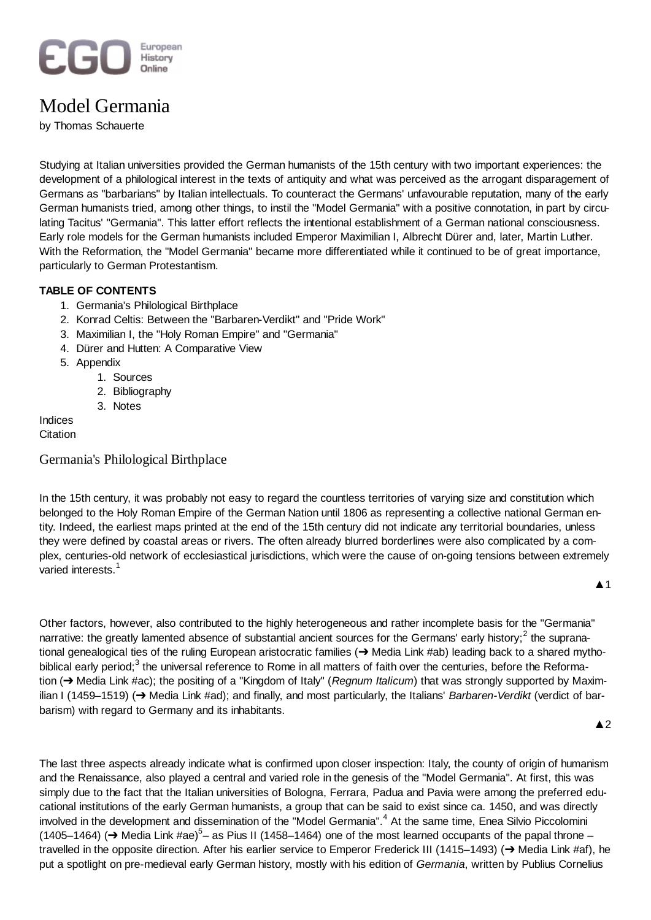

# Model Germania

by Thomas Schauerte

Studying at Italian universities provided the German humanists of the 15th century with two important experiences: the development of a philological interest in the texts of antiquity and what was perceived as the arrogant disparagement of Germans as "barbarians" by Italian intellectuals. To counteract the Germans' unfavourable reputation, many of the early German humanists tried, among other things, to instil the "Model Germania" with a positive connotation, in part by circulating Tacitus' "Germania". This latter effort reflects the intentional establishment of a German national consciousness. Early role models for the German humanists included Emperor Maximilian I, Albrecht Dürer and, later, Martin Luther. With the Reformation, the "Model Germania" became more differentiated while it continued to be of great importance, particularly to German Protestantism.

## **TABLE OF CONTENTS**

- 1. Germania's Philological Birthplace
- 2. Konrad Celtis: Between the "Barbaren-Verdikt" and "Pride Work"
- 3. Maximilian I, the "Holy Roman Empire" and "Germania"
- 4. Dürer and Hutten: A Comparative View
- 5. Appendix
	- 1. Sources
	- 2. Bibliography
	- 3. Notes

#### Indices **Citation**

Germania's Philological Birthplace

In the 15th century, it was probably not easy to regard the countless territories of varying size and constitution which belonged to the Holy Roman Empire of the German Nation until 1806 as representing a collective national German entity. Indeed, the earliest maps printed at the end of the 15th century did not indicate any territorial boundaries, unless they were defined by coastal areas or rivers. The often already blurred borderlines were also complicated by a complex, centuries-old network of ecclesiastical jurisdictions, which were the cause of on-going tensions between extremely varied interests.

 $\blacktriangle$  1

Other factors, however, also contributed to the highly heterogeneous and rather incomplete basis for the "Germania" narrative: the greatly lamented absence of substantial ancient sources for the Germans' early history;<sup>2</sup> the supranational genealogical ties of the ruling European aristocratic families ( $\rightarrow$  Media Link #ab) leading back to a shared mythobiblical early period;<sup>3</sup> the universal reference to Rome in all matters of faith over the centuries, before the Reformation (ᇄ Media Link #ac); the positing of a "Kingdom of Italy" (*Regnum Italicum*) that was strongly supported by Maximilian I (1459–1519) (→ Media Link #ad); and finally, and most particularly, the Italians' *Barbaren-Verdikt* (verdict of barbarism) with regard to Germany and its inhabitants.

 $\triangle$  2

The last three aspects already indicate what is confirmed upon closer inspection: Italy, the county of origin of humanism and the Renaissance, also played a central and varied role in the genesis of the "Model Germania". At first, this was simply due to the fact that the Italian universities of Bologna, Ferrara, Padua and Pavia were among the preferred educational institutions of the early German humanists, a group that can be said to exist since ca. 1450, and was directly involved in the development and dissemination of the "Model Germania".<sup>4</sup> At the same time, Enea Silvio Piccolomini (1405–1464) ( $\rightarrow$  Media Link #ae)<sup>5</sup>– as Pius II (1458–1464) one of the most learned occupants of the papal throne – travelled in the opposite direction. After his earlier service to Emperor Frederick III (1415–1493) ( $\rightarrow$  Media Link #af), he put a spotlight on pre-medieval early German history, mostly with his edition of *Germania*, written by Publius Cornelius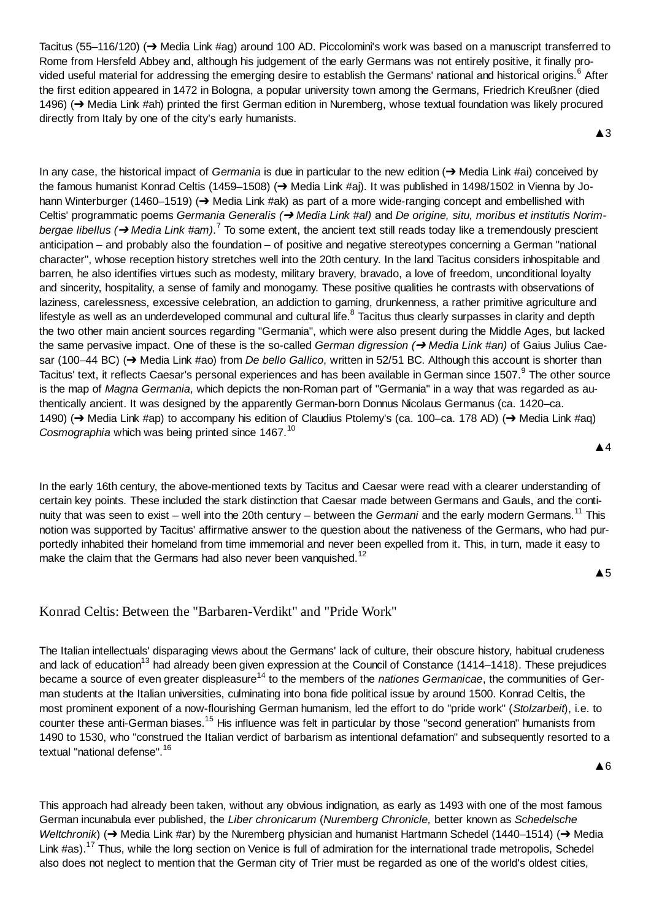Tacitus (55–116/120) ( $\rightarrow$  Media Link #ag) around 100 AD. Piccolomini's work was based on a manuscript transferred to Rome from Hersfeld Abbey and, although his judgement of the early Germans was not entirely positive, it finally provided useful material for addressing the emerging desire to establish the Germans' national and historical origins.<sup>6</sup> After the first edition appeared in 1472 in Bologna, a popular university town among the Germans, Friedrich Kreußner (died 1496)  $\rightarrow$  Media Link #ah) printed the first German edition in Nuremberg, whose textual foundation was likely procured directly from Italy by one of the city's early humanists.

 $\triangle 3$ 

In any case, the historical impact of *Germania* is due in particular to the new edition (→ Media Link #ai) conceived by the famous humanist Konrad Celtis (1459–1508) (→ Media Link #ai). It was published in 1498/1502 in Vienna by Johann Winterburger (1460–1519) ( $\rightarrow$  Media Link #ak) as part of a more wide-ranging concept and embellished with Celtis' programmatic poems Germania Generalis (→ Media Link #al) and *De origine, situ, moribus et institutis Norim*bergae libellus (**+** Media Link #am).<sup>7</sup> To some extent, the ancient text still reads today like a tremendously prescient anticipation – and probably also the foundation – of positive and negative stereotypes concerning a German "national character", whose reception history stretches well into the 20th century. In the land Tacitus considers inhospitable and barren, he also identifies virtues such as modesty, military bravery, bravado, a love of freedom, unconditional loyalty and sincerity, hospitality, a sense of family and monogamy. These positive qualities he contrasts with observations of laziness, carelessness, excessive celebration, an addiction to gaming, drunkenness, a rather primitive agriculture and lifestyle as well as an underdeveloped communal and cultural life.<sup>8</sup> Tacitus thus clearly surpasses in clarity and depth the two other main ancient sources regarding "Germania", which were also present during the Middle Ages, but lacked the same pervasive impact. One of these is the so-called *German digression (→ Media Link #an)* of Gaius Julius Caesar (100–44 BC) (→ Media Link #ao) from *De bello Gallico*, written in 52/51 BC. Although this account is shorter than Tacitus' text, it reflects Caesar's personal experiences and has been available in German since 1507.<sup>9</sup> The other source is the map of *Magna Germania*, which depicts the non-Roman part of "Germania" in a way that was regarded as authentically ancient. It was designed by the apparently German-born Donnus Nicolaus Germanus (ca. 1420–ca. 1490) (→ Media Link #ap) to accompany his edition of Claudius Ptolemy's (ca. 100–ca. 178 AD) (→ Media Link #aq) *Cosmographia* which was being printed since 1467.<sup>10</sup>

In the early 16th century, the above-mentioned texts by Tacitus and Caesar were read with a clearer understanding of certain key points. These included the stark distinction that Caesar made between Germans and Gauls, and the continuity that was seen to exist – well into the 20th century – between the *Germani* and the early modern Germans.<sup>11</sup> This notion was supported by Tacitus' affirmative answer to the question about the nativeness of the Germans, who had purportedly inhabited their homeland from time immemorial and never been expelled from it. This, in turn, made it easy to make the claim that the Germans had also never been vanquished.<sup>12</sup>

 $\triangle$  5

Ÿ4

## Konrad Celtis: Between the "Barbaren-Verdikt" and "Pride Work"

The Italian intellectuals' disparaging views about the Germans' lack of culture, their obscure history, habitual crudeness and lack of education<sup>13</sup> had already been given expression at the Council of Constance (1414–1418). These prejudices became a source of even greater displeasure<sup>14</sup> to the members of the *nationes Germanicae*, the communities of German students at the Italian universities, culminating into bona fide political issue by around 1500. Konrad Celtis, the most prominent exponent of a now-flourishing German humanism, led the effort to do "pride work" (*Stolzarbeit*), i.e. to counter these anti-German biases.<sup>15</sup> His influence was felt in particular by those "second generation" humanists from 1490 to 1530, who "construed the Italian verdict of barbarism as intentional defamation" and subsequently resorted to a textual "national defense".<sup>16</sup>

**▲6** 

This approach had already been taken, without any obvious indignation, as early as 1493 with one of the most famous German incunabula ever published, the *Liber chronicarum* (*Nuremberg Chronicle,* better known as *Schedelsche Weltchronik*) (→ Media Link #ar) by the Nuremberg physician and humanist Hartmann Schedel (1440–1514) (→ Media Link #as).<sup>17</sup> Thus, while the long section on Venice is full of admiration for the international trade metropolis, Schedel also does not neglect to mention that the German city of Trier must be regarded as one of the world's oldest cities,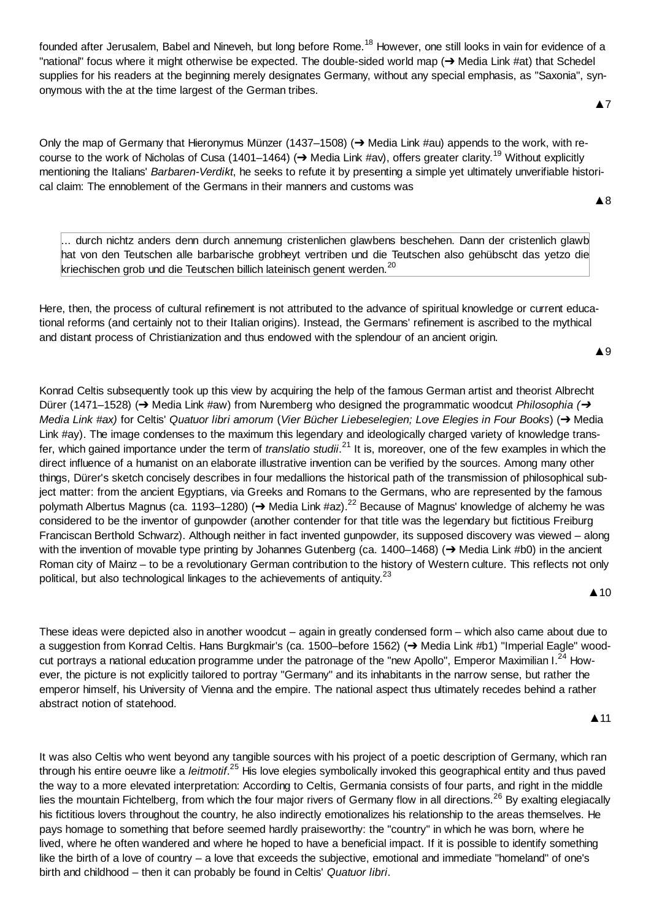founded after Jerusalem, Babel and Nineveh, but long before Rome.<sup>18</sup> However, one still looks in vain for evidence of a "national" focus where it might otherwise be expected. The double-sided world map  $(\rightarrow$  Media Link #at) that Schedel supplies for his readers at the beginning merely designates Germany, without any special emphasis, as "Saxonia", synonymous with the at the time largest of the German tribes.

**A7** 

Only the map of Germany that Hieronymus Münzer (1437–1508) ( $\rightarrow$  Media Link #au) appends to the work, with recourse to the work of Nicholas of Cusa (1401–1464) ( $\rightarrow$  Media Link #av), offers greater clarity.<sup>19</sup> Without explicitly mentioning the Italians' *Barbaren-Verdikt*, he seeks to refute it by presenting a simple yet ultimately unverifiable historical claim: The ennoblement of the Germans in their manners and customs was

**▲8** 

... durch nichtz anders denn durch annemung cristenlichen glawbens beschehen. Dann der cristenlich glawb hat von den Teutschen alle barbarische grobheyt vertriben und die Teutschen also gehübscht das yetzo die kriechischen grob und die Teutschen billich lateinisch genent werden.<sup>20</sup>

Here, then, the process of cultural refinement is not attributed to the advance of spiritual knowledge or current educational reforms (and certainly not to their Italian origins). Instead, the Germans' refinement is ascribed to the mythical and distant process of Christianization and thus endowed with the splendour of an ancient origin.

**A**9

Konrad Celtis subsequently took up this view by acquiring the help of the famous German artist and theorist Albrecht Dürer (1471–1528) (→ Media Link #aw) from Nuremberg who designed the programmatic woodcut *Philosophia (→ Media Link #ax)* for Celtis' Quatuor libri amorum (Vier Bücher Liebeselegien; Love Elegies in Four Books) (→ Media Link #ay). The image condenses to the maximum this legendary and ideologically charged variety of knowledge transfer, which gained importance under the term of *translatio studii*.<sup>21</sup> It is, moreover, one of the few examples in which the direct influence of a humanist on an elaborate illustrative invention can be verified by the sources. Among many other things, Dürer's sketch concisely describes in four medallions the historical path of the transmission of philosophical subject matter: from the ancient Egyptians, via Greeks and Romans to the Germans, who are represented by the famous polymath Albertus Magnus (ca. 1193–1280) ( $\rightarrow$  Media Link #az).<sup>22</sup> Because of Magnus' knowledge of alchemy he was considered to be the inventor of gunpowder (another contender for that title was the legendary but fictitious Freiburg Franciscan Berthold Schwarz). Although neither in fact invented gunpowder, its supposed discovery was viewed – along with the invention of movable type printing by Johannes Gutenberg (ca. 1400–1468) ( $\rightarrow$  Media Link #b0) in the ancient Roman city of Mainz – to be a revolutionary German contribution to the history of Western culture. This reflects not only political, but also technological linkages to the achievements of antiquity.<sup>23</sup>

 $\triangle$  10

These ideas were depicted also in another woodcut – again in greatly condensed form – which also came about due to a suggestion from Konrad Celtis. Hans Burgkmair's (ca. 1500–before 1562) (→ Media Link #b1) "Imperial Eagle" woodcut portrays a national education programme under the patronage of the "new Apollo", Emperor Maximilian I.<sup>24</sup> However, the picture is not explicitly tailored to portray "Germany" and its inhabitants in the narrow sense, but rather the emperor himself, his University of Vienna and the empire. The national aspect thus ultimately recedes behind a rather abstract notion of statehood.

 $\blacktriangle$  11

It was also Celtis who went beyond any tangible sources with his project of a poetic description of Germany, which ran through his entire oeuvre like a *leitmotif.<sup>25</sup>* His love elegies symbolically invoked this geographical entity and thus paved the way to a more elevated interpretation: According to Celtis, Germania consists of four parts, and right in the middle lies the mountain Fichtelberg, from which the four major rivers of Germany flow in all directions.<sup>26</sup> By exalting elegiacally his fictitious lovers throughout the country, he also indirectly emotionalizes his relationship to the areas themselves. He pays homage to something that before seemed hardly praiseworthy: the "country" in which he was born, where he lived, where he often wandered and where he hoped to have a beneficial impact. If it is possible to identify something like the birth of a love of country – a love that exceeds the subjective, emotional and immediate "homeland" of one's birth and childhood – then it can probably be found in Celtis' *Quatuor libri*.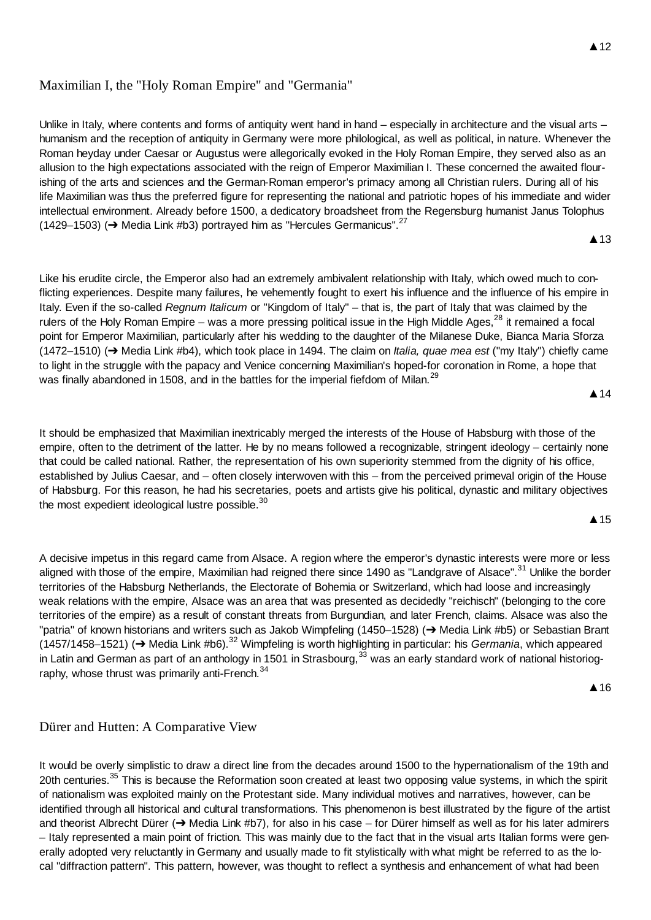$\triangle$  13

# Maximilian I, the "Holy Roman Empire" and "Germania"

Unlike in Italy, where contents and forms of antiquity went hand in hand – especially in architecture and the visual arts – humanism and the reception of antiquity in Germany were more philological, as well as political, in nature. Whenever the Roman heyday under Caesar or Augustus were allegorically evoked in the Holy Roman Empire, they served also as an allusion to the high expectations associated with the reign of Emperor Maximilian I. These concerned the awaited flourishing of the arts and sciences and the German-Roman emperor's primacy among all Christian rulers. During all of his life Maximilian was thus the preferred figure for representing the national and patriotic hopes of his immediate and wider intellectual environment. Already before 1500, a dedicatory broadsheet from the Regensburg humanist Janus Tolophus (1429–1503) ( $\rightarrow$  Media Link #b3) portraved him as "Hercules Germanicus".<sup>27</sup>

Like his erudite circle, the Emperor also had an extremely ambivalent relationship with Italy, which owed much to conflicting experiences. Despite many failures, he vehemently fought to exert his influence and the influence of his empire in Italy. Even if the so-called *Regnum Italicum* or "Kingdom of Italy" – that is, the part of Italy that was claimed by the rulers of the Holy Roman Empire – was a more pressing political issue in the High Middle Ages,  $^{28}$  it remained a focal point for Emperor Maximilian, particularly after his wedding to the daughter of the Milanese Duke, Bianca Maria Sforza (1472–1510) (ᇄ Media Link #b4), which took place in 1494. The claim on *Italia, quae mea est* ("my Italy") chiefly came to light in the struggle with the papacy and Venice concerning Maximilian's hoped-for coronation in Rome, a hope that was finally abandoned in 1508, and in the battles for the imperial fiefdom of Milan.<sup>29</sup>

It should be emphasized that Maximilian inextricably merged the interests of the House of Habsburg with those of the empire, often to the detriment of the latter. He by no means followed a recognizable, stringent ideology – certainly none that could be called national. Rather, the representation of his own superiority stemmed from the dignity of his office, established by Julius Caesar, and – often closely interwoven with this – from the perceived primeval origin of the House of Habsburg. For this reason, he had his secretaries, poets and artists give his political, dynastic and military objectives the most expedient ideological lustre possible.<sup>30</sup>

**A** 15

**▲14** 

A decisive impetus in this regard came from Alsace. A region where the emperor's dynastic interests were more or less aligned with those of the empire, Maximilian had reigned there since 1490 as "Landgrave of Alsace".<sup>31</sup> Unlike the border territories of the Habsburg Netherlands, the Electorate of Bohemia or Switzerland, which had loose and increasingly weak relations with the empire, Alsace was an area that was presented as decidedly "reichisch" (belonging to the core territories of the empire) as a result of constant threats from Burgundian, and later French, claims. Alsace was also the "patria" of known historians and writers such as Jakob Wimpfeling (1450–1528) (→ Media Link #b5) or Sebastian Brant  $(1457/1458-1521)$  ( $\rightarrow$  Media Link #b6).<sup>32</sup> Wimpfeling is worth highlighting in particular: his *Germania*, which appeared in Latin and German as part of an anthology in 1501 in Strasbourg,<sup>33</sup> was an early standard work of national historiography, whose thrust was primarily anti-French.  $34$ 

 $\triangle$  16

## Dürer and Hutten: A Comparative View

It would be overly simplistic to draw a direct line from the decades around 1500 to the hypernationalism of the 19th and 20th centuries.<sup>35</sup> This is because the Reformation soon created at least two opposing value systems, in which the spirit of nationalism was exploited mainly on the Protestant side. Many individual motives and narratives, however, can be identified through all historical and cultural transformations. This phenomenon is best illustrated by the figure of the artist and theorist Albrecht Dürer ( $\rightarrow$  Media Link #b7), for also in his case – for Dürer himself as well as for his later admirers – Italy represented a main point of friction. This was mainly due to the fact that in the visual arts Italian forms were generally adopted very reluctantly in Germany and usually made to fit stylistically with what might be referred to as the local "diffraction pattern". This pattern, however, was thought to reflect a synthesis and enhancement of what had been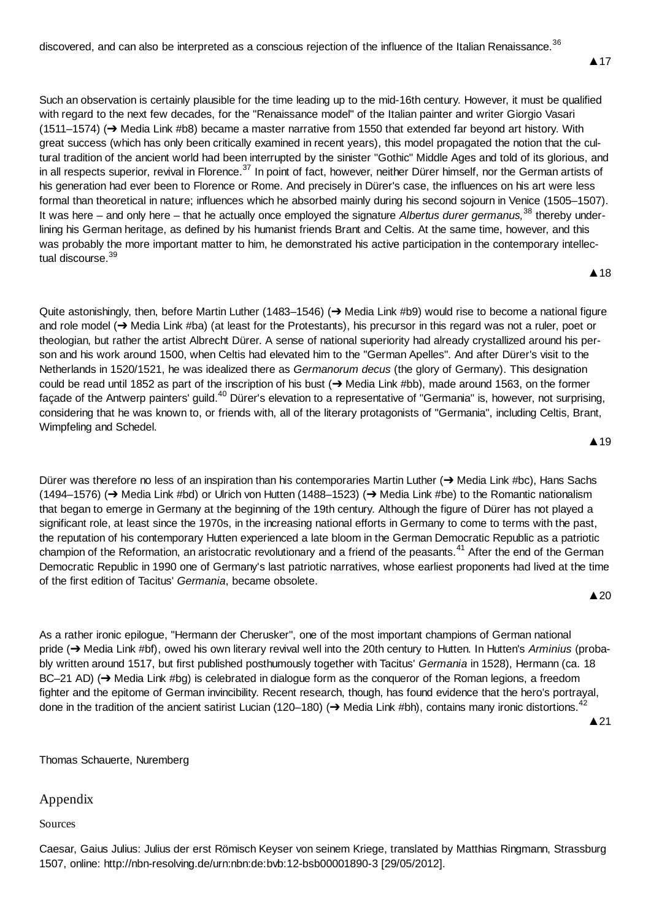discovered, and can also be interpreted as a conscious rejection of the influence of the Italian Renaissance.<sup>36</sup>

▲18

Such an observation is certainly plausible for the time leading up to the mid-16th century. However, it must be qualified with regard to the next few decades, for the "Renaissance model" of the Italian painter and writer Giorgio Vasari  $(1511–1574)$   $(\rightarrow$  Media Link #b8) became a master narrative from 1550 that extended far beyond art history. With great success (which has only been critically examined in recent years), this model propagated the notion that the cultural tradition of the ancient world had been interrupted by the sinister "Gothic" Middle Ages and told of its glorious, and in all respects superior, revival in Florence.<sup>37</sup> In point of fact, however, neither Dürer himself, nor the German artists of his generation had ever been to Florence or Rome. And precisely in Dürer's case, the influences on his art were less formal than theoretical in nature; influences which he absorbed mainly during his second sojourn in Venice (1505–1507). It was here – and only here – that he actually once employed the signature *Albertus durer germanus,*<sup>38</sup> thereby underlining his German heritage, as defined by his humanist friends Brant and Celtis. At the same time, however, and this was probably the more important matter to him, he demonstrated his active participation in the contemporary intellectual discourse.<sup>39</sup>

Quite astonishingly, then, before Martin Luther (1483–1546) ( $\rightarrow$  Media Link #b9) would rise to become a national figure and role model ( $\rightarrow$  Media Link #ba) (at least for the Protestants), his precursor in this regard was not a ruler, poet or theologian, but rather the artist Albrecht Dürer. A sense of national superiority had already crystallized around his person and his work around 1500, when Celtis had elevated him to the "German Apelles". And after Dürer's visit to the Netherlands in 1520/1521, he was idealized there as *Germanorum decus* (the glory of Germany). This designation could be read until 1852 as part of the inscription of his bust  $(\rightarrow$  Media Link #bb), made around 1563, on the former facade of the Antwerp painters' guild.<sup>40</sup> Dürer's elevation to a representative of "Germania" is, however, not surprising, considering that he was known to, or friends with, all of the literary protagonists of "Germania", including Celtis, Brant, Wimpfeling and Schedel.

Dürer was therefore no less of an inspiration than his contemporaries Martin Luther  $(\rightarrow)$  Media Link #bc), Hans Sachs (1494–1576) (→ Media Link #bd) or Ulrich von Hutten (1488–1523) (→ Media Link #be) to the Romantic nationalism that began to emerge in Germany at the beginning of the 19th century. Although the figure of Dürer has not played a significant role, at least since the 1970s, in the increasing national efforts in Germany to come to terms with the past, the reputation of his contemporary Hutten experienced a late bloom in the German Democratic Republic as a patriotic champion of the Reformation, an aristocratic revolutionary and a friend of the peasants.<sup>41</sup> After the end of the German Democratic Republic in 1990 one of Germany's last patriotic narratives, whose earliest proponents had lived at the time of the first edition of Tacitus' *Germania*, became obsolete.

 $\triangle 20$ 

▲ 21

▲19

As a rather ironic epilogue, "Hermann der Cherusker", one of the most important champions of German national pride (→ Media Link #bf), owed his own literary revival well into the 20th century to Hutten. In Hutten's *Arminius* (probably written around 1517, but first published posthumously together with Tacitus' *Germania* in 1528), Hermann (ca. 18 BC–21 AD) (→ Media Link #bg) is celebrated in dialogue form as the conqueror of the Roman legions, a freedom fighter and the epitome of German invincibility. Recent research, though, has found evidence that the hero's portrayal, done in the tradition of the ancient satirist Lucian (120–180) ( $\rightarrow$  Media Link #bh), contains many ironic distortions.<sup>42</sup>

Thomas Schauerte, Nuremberg

# Appendix

Sources

Caesar, Gaius Julius: Julius der erst Römisch Keyser von seinem Kriege, translated by Matthias Ringmann, Strassburg 1507, online: http://nbn-resolving.de/urn:nbn:de:bvb:12-bsb00001890-3 [29/05/2012].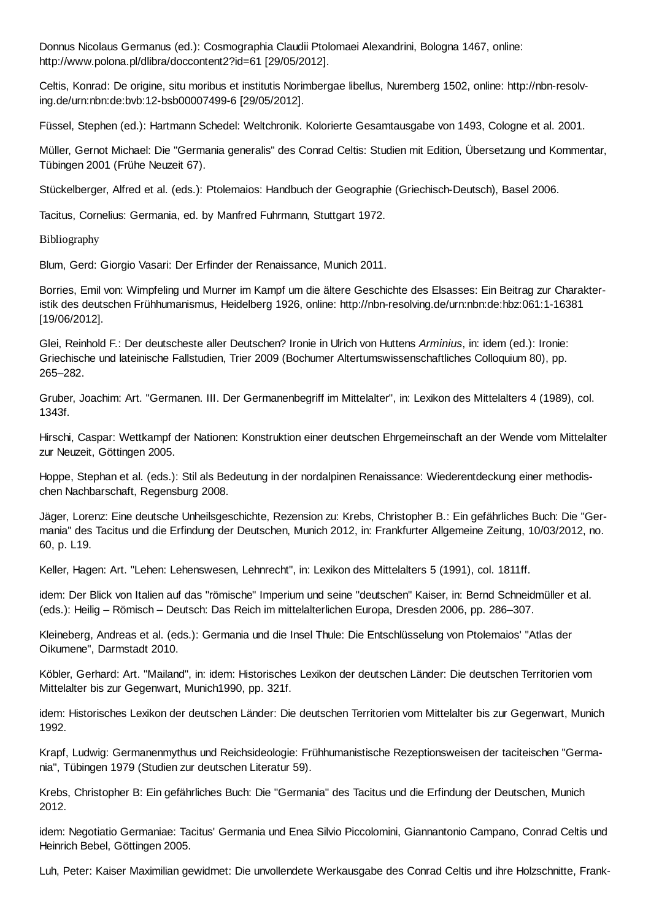Donnus Nicolaus Germanus (ed.): Cosmographia Claudii Ptolomaei Alexandrini, Bologna 1467, online: http://www.polona.pl/dlibra/doccontent2?id=61 [29/05/2012].

Celtis, Konrad: De origine, situ moribus et institutis Norimbergae libellus, Nuremberg 1502, online: http://nbn-resolving.de/urn:nbn:de:bvb:12-bsb00007499-6 [29/05/2012].

Füssel, Stephen (ed.): Hartmann Schedel: Weltchronik. Kolorierte Gesamtausgabe von 1493, Cologne et al. 2001.

Müller, Gernot Michael: Die "Germania generalis" des Conrad Celtis: Studien mit Edition, Übersetzung und Kommentar, Tübingen 2001 (Frühe Neuzeit 67).

Stückelberger, Alfred et al. (eds.): Ptolemaios: Handbuch der Geographie (Griechisch-Deutsch), Basel 2006.

Tacitus, Cornelius: Germania, ed. by Manfred Fuhrmann, Stuttgart 1972.

Bibliography

Blum, Gerd: Giorgio Vasari: Der Erfinder der Renaissance, Munich 2011.

Borries, Emil von: Wimpfeling und Murner im Kampf um die ältere Geschichte des Elsasses: Ein Beitrag zur Charakteristik des deutschen Frühhumanismus, Heidelberg 1926, online: http://nbn-resolving.de/urn:nbn:de:hbz:061:1-16381 [19/06/2012].

Glei, Reinhold F.: Der deutscheste aller Deutschen? Ironie in Ulrich von Huttens *Arminius*, in: idem (ed.): Ironie: Griechische und lateinische Fallstudien, Trier 2009 (Bochumer Altertumswissenschaftliches Colloquium 80), pp. 265–282.

Gruber, Joachim: Art. "Germanen. III. Der Germanenbegriff im Mittelalter", in: Lexikon des Mittelalters 4 (1989), col. 1343f.

Hirschi, Caspar: Wettkampf der Nationen: Konstruktion einer deutschen Ehrgemeinschaft an der Wende vom Mittelalter zur Neuzeit, Göttingen 2005.

Hoppe, Stephan et al. (eds.): Stil als Bedeutung in der nordalpinen Renaissance: Wiederentdeckung einer methodischen Nachbarschaft, Regensburg 2008.

Jäger, Lorenz: Eine deutsche Unheilsgeschichte, Rezension zu: Krebs, Christopher B.: Ein gefährliches Buch: Die "Germania" des Tacitus und die Erfindung der Deutschen, Munich 2012, in: Frankfurter Allgemeine Zeitung, 10/03/2012, no. 60, p. L19.

Keller, Hagen: Art. "Lehen: Lehenswesen, Lehnrecht", in: Lexikon des Mittelalters 5 (1991), col. 1811ff.

idem: Der Blick von Italien auf das "römische" Imperium und seine "deutschen" Kaiser, in: Bernd Schneidmüller et al. (eds.): Heilig – Römisch – Deutsch: Das Reich im mittelalterlichen Europa, Dresden 2006, pp. 286–307.

Kleineberg, Andreas et al. (eds.): Germania und die Insel Thule: Die Entschlüsselung von Ptolemaios' "Atlas der Oikumene", Darmstadt 2010.

Köbler, Gerhard: Art. "Mailand", in: idem: Historisches Lexikon der deutschen Länder: Die deutschen Territorien vom Mittelalter bis zur Gegenwart, Munich1990, pp. 321f.

idem: Historisches Lexikon der deutschen Länder: Die deutschen Territorien vom Mittelalter bis zur Gegenwart, Munich 1992.

Krapf, Ludwig: Germanenmythus und Reichsideologie: Frühhumanistische Rezeptionsweisen der taciteischen "Germania", Tübingen 1979 (Studien zur deutschen Literatur 59).

Krebs, Christopher B: Ein gefährliches Buch: Die "Germania" des Tacitus und die Erfindung der Deutschen, Munich 2012.

idem: Negotiatio Germaniae: Tacitus' Germania und Enea Silvio Piccolomini, Giannantonio Campano, Conrad Celtis und Heinrich Bebel, Göttingen 2005.

Luh, Peter: Kaiser Maximilian gewidmet: Die unvollendete Werkausgabe des Conrad Celtis und ihre Holzschnitte, Frank-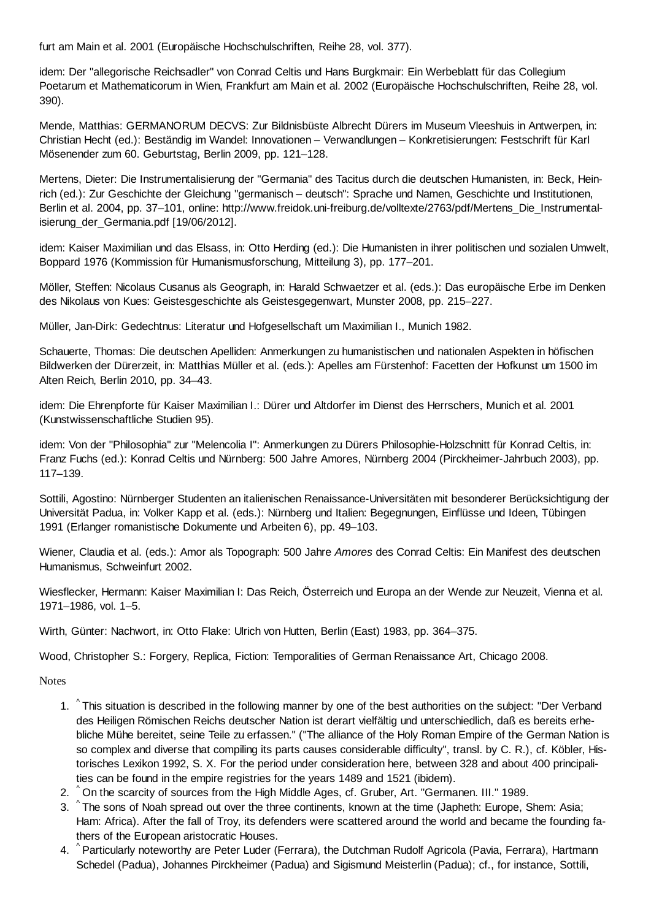furt am Main et al. 2001 (Europäische Hochschulschriften, Reihe 28, vol. 377).

idem: Der "allegorische Reichsadler" von Conrad Celtis und Hans Burgkmair: Ein Werbeblatt für das Collegium Poetarum et Mathematicorum in Wien, Frankfurt am Main et al. 2002 (Europäische Hochschulschriften, Reihe 28, vol. 390).

Mende, Matthias: GERMANORUM DECVS: Zur Bildnisbüste Albrecht Dürers im Museum Vleeshuis in Antwerpen, in: Christian Hecht (ed.): Beständig im Wandel: Innovationen – Verwandlungen – Konkretisierungen: Festschrift für Karl Mösenender zum 60. Geburtstag, Berlin 2009, pp. 121–128.

Mertens, Dieter: Die Instrumentalisierung der "Germania" des Tacitus durch die deutschen Humanisten, in: Beck, Heinrich (ed.): Zur Geschichte der Gleichung "germanisch – deutsch": Sprache und Namen, Geschichte und Institutionen, Berlin et al. 2004, pp. 37–101, online: http://www.freidok.uni-freiburg.de/volltexte/2763/pdf/Mertens\_Die\_Instrumentalisierung\_der\_Germania.pdf [19/06/2012].

idem: Kaiser Maximilian und das Elsass, in: Otto Herding (ed.): Die Humanisten in ihrer politischen und sozialen Umwelt, Boppard 1976 (Kommission für Humanismusforschung, Mitteilung 3), pp. 177–201.

Möller, Steffen: Nicolaus Cusanus als Geograph, in: Harald Schwaetzer et al. (eds.): Das europäische Erbe im Denken des Nikolaus von Kues: Geistesgeschichte als Geistesgegenwart, Munster 2008, pp. 215–227.

Müller, Jan-Dirk: Gedechtnus: Literatur und Hofgesellschaft um Maximilian I., Munich 1982.

Schauerte, Thomas: Die deutschen Apelliden: Anmerkungen zu humanistischen und nationalen Aspekten in höfischen Bildwerken der Dürerzeit, in: Matthias Müller et al. (eds.): Apelles am Fürstenhof: Facetten der Hofkunst um 1500 im Alten Reich, Berlin 2010, pp. 34–43.

idem: Die Ehrenpforte für Kaiser Maximilian I.: Dürer und Altdorfer im Dienst des Herrschers, Munich et al. 2001 (Kunstwissenschaftliche Studien 95).

idem: Von der "Philosophia" zur "Melencolia I": Anmerkungen zu Dürers Philosophie-Holzschnitt für Konrad Celtis, in: Franz Fuchs (ed.): Konrad Celtis und Nürnberg: 500 Jahre Amores, Nürnberg 2004 (Pirckheimer-Jahrbuch 2003), pp. 117–139.

Sottili, Agostino: Nürnberger Studenten an italienischen Renaissance-Universitäten mit besonderer Berücksichtigung der Universität Padua, in: Volker Kapp et al. (eds.): Nürnberg und Italien: Begegnungen, Einflüsse und Ideen, Tübingen 1991 (Erlanger romanistische Dokumente und Arbeiten 6), pp. 49–103.

Wiener, Claudia et al. (eds.): Amor als Topograph: 500 Jahre *Amores* des Conrad Celtis: Ein Manifest des deutschen Humanismus, Schweinfurt 2002.

Wiesflecker, Hermann: Kaiser Maximilian I: Das Reich, Österreich und Europa an der Wende zur Neuzeit, Vienna et al. 1971–1986, vol. 1–5.

Wirth, Günter: Nachwort, in: Otto Flake: Ulrich von Hutten, Berlin (East) 1983, pp. 364–375.

Wood, Christopher S.: Forgery, Replica, Fiction: Temporalities of German Renaissance Art, Chicago 2008.

**Notes** 

- 1. ^ This situation is described in the following manner by one of the best authorities on the subject: "Der Verband des Heiligen Römischen Reichs deutscher Nation ist derart vielfältig und unterschiedlich, daß es bereits erhebliche Mühe bereitet, seine Teile zu erfassen." ("The alliance of the Holy Roman Empire of the German Nation is so complex and diverse that compiling its parts causes considerable difficulty", transl. by C. R.), cf. Köbler, Historisches Lexikon 1992, S. X. For the period under consideration here, between 328 and about 400 principalities can be found in the empire registries for the years 1489 and 1521 (ibidem).
- 2. ^ On the scarcity of sources from the High Middle Ages, cf. Gruber, Art. "Germanen. III." 1989.
- 3. ^The sons of Noah spread out over the three continents, known at the time (Japheth: Europe, Shem: Asia; Ham: Africa). After the fall of Troy, its defenders were scattered around the world and became the founding fathers of the European aristocratic Houses.
- 4. ^ Particularly noteworthy are Peter Luder (Ferrara), the Dutchman Rudolf Agricola (Pavia, Ferrara), Hartmann Schedel (Padua), Johannes Pirckheimer (Padua) and Sigismund Meisterlin (Padua); cf., for instance, Sottili,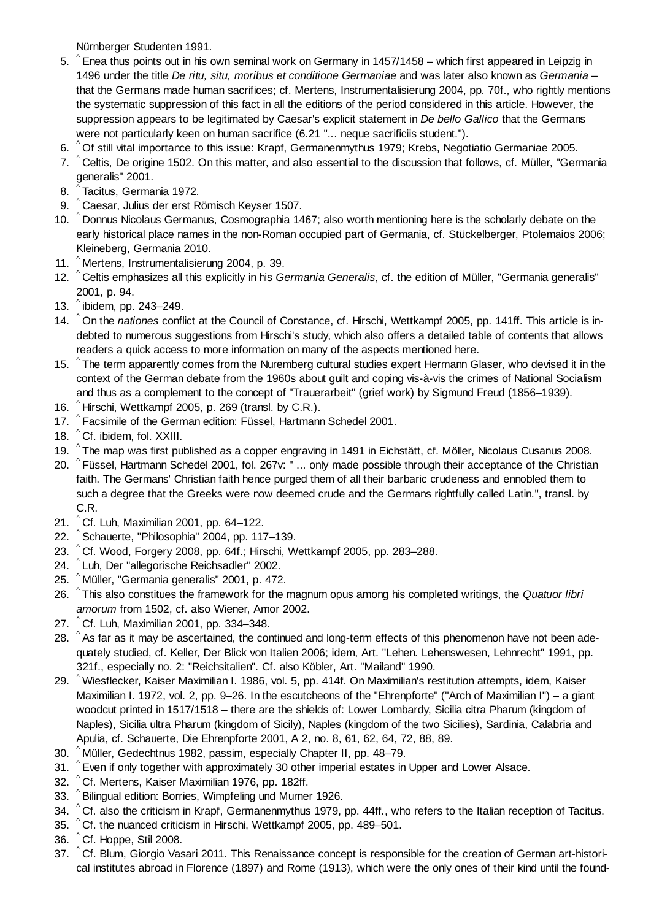Nürnberger Studenten 1991.

- 5. ^Enea thus points out in his own seminal work on Germany in 1457/1458 which first appeared in Leipzig in 1496 under the title *De ritu, situ, moribus et conditione Germaniae* and was later also known as *Germania* – that the Germans made human sacrifices; cf. Mertens, Instrumentalisierung 2004, pp. 70f., who rightly mentions the systematic suppression of this fact in all the editions of the period considered in this article. However, the suppression appears to be legitimated by Caesar's explicit statement in *De bello Gallico* that the Germans were not particularly keen on human sacrifice (6.21 "... neque sacrificiis student.").
- 6. ^Of still vital importance to this issue: Krapf, Germanenmythus 1979; Krebs, Negotiatio Germaniae 2005.
- 7. ^Celtis, De origine 1502. On this matter, and also essential to the discussion that follows, cf. Müller, "Germania generalis" 2001. ^
- 8. Tacitus, Germania 1972.
- ^ 9. Caesar, Julius der erst Römisch Keyser 1507.
- 10. ^ Donnus Nicolaus Germanus, Cosmographia 1467; also worth mentioning here is the scholarly debate on the early historical place names in the non-Roman occupied part of Germania, cf. Stückelberger, Ptolemaios 2006; Kleineberg, Germania 2010.
- ^ 11. Mertens, Instrumentalisierung 2004, p. 39.
- 12. ^ Celtis emphasizes all this explicitly in his *Germania Generalis*, cf. the edition of Müller, "Germania generalis" 2001, p. 94.
- 13. 'ibidem, pp. 243-249.
- 14. <sup>^</sup> On the *nationes* conflict at the Council of Constance, cf. Hirschi, Wettkampf 2005, pp. 141ff. This article is indebted to numerous suggestions from Hirschi's study, which also offers a detailed table of contents that allows readers a quick access to more information on many of the aspects mentioned here.
- 15. ^ The term apparently comes from the Nuremberg cultural studies expert Hermann Glaser, who devised it in the context of the German debate from the 1960s about guilt and coping vis-à-vis the crimes of National Socialism and thus as a complement to the concept of "Trauerarbeit" (grief work) by Sigmund Freud (1856–1939).
- 16. ^ Hirschi, Wettkampf 2005, p. 269 (transl. by C.R.).
- 17. <sup>^</sup> Facsimile of the German edition: Füssel, Hartmann Schedel 2001.
- 18. ^ Cf. ibidem, fol. XXIII.
- 19. <sup>^</sup> The map was first published as a copper engraving in 1491 in Eichstätt, cf. Möller, Nicolaus Cusanus 2008.
- 20. ^Füssel, Hartmann Schedel 2001, fol. 267v: " ... only made possible through their acceptance of the Christian faith. The Germans' Christian faith hence purged them of all their barbaric crudeness and ennobled them to such a degree that the Greeks were now deemed crude and the Germans rightfully called Latin.", transl. by C.R.
- 21. ^ Cf. Luh, Maximilian 2001, pp. 64–122.
- 22. ^ Schauerte, "Philosophia" 2004, pp. 117–139.
- 23. ^ Cf. Wood, Forgery 2008, pp. 64f.; Hirschi, Wettkampf 2005, pp. 283–288.
- 24.  $\degree$ Luh, Der "allegorische Reichsadler" 2002.
- ^ 25. Müller, "Germania generalis" 2001, p. 472.
- ^ This also constitues the framework for the magnum opus among his completed writings, the *Quatuor libri* 26. *amorum* from 1502, cf. also Wiener, Amor 2002.
- 27. ^ Cf. Luh, Maximilian 2001, pp. 334–348.
- 28. ^ As far as it may be ascertained, the continued and long-term effects of this phenomenon have not been adequately studied, cf. Keller, Der Blick von Italien 2006; idem, Art. "Lehen. Lehenswesen, Lehnrecht" 1991, pp. 321f., especially no. 2: "Reichsitalien". Cf. also Köbler, Art. "Mailand" 1990.
- 29. ^Wiesflecker, Kaiser Maximilian I. 1986, vol. 5, pp. 414f. On Maximilian's restitution attempts, idem, Kaiser Maximilian I. 1972, vol. 2, pp. 9–26. In the escutcheons of the "Ehrenpforte" ("Arch of Maximilian I") – a giant woodcut printed in 1517/1518 – there are the shields of: Lower Lombardy, Sicilia citra Pharum (kingdom of Naples), Sicilia ultra Pharum (kingdom of Sicily), Naples (kingdom of the two Sicilies), Sardinia, Calabria and Apulia, cf. Schauerte, Die Ehrenpforte 2001, A 2, no. 8, 61, 62, 64, 72, 88, 89.
- ^ 30. Müller, Gedechtnus 1982, passim, especially Chapter II, pp. 48–79.
- 31. ^ Even if only together with approximately 30 other imperial estates in Upper and Lower Alsace.
- 32. ^ Cf. Mertens, Kaiser Maximilian 1976, pp. 182ff.
- 33. ^ Bilingual edition: Borries, Wimpfeling und Murner 1926.
- 34. ^Cf. also the criticism in Krapf, Germanenmythus 1979, pp. 44ff., who refers to the Italian reception of Tacitus.
- 35. ^ Cf. the nuanced criticism in Hirschi, Wettkampf 2005, pp. 489–501.
- 36. ^ Cf. Hoppe, Stil 2008.
- 37. ^Cf. Blum, Giorgio Vasari 2011. This Renaissance concept is responsible for the creation of German art-historical institutes abroad in Florence (1897) and Rome (1913), which were the only ones of their kind until the found-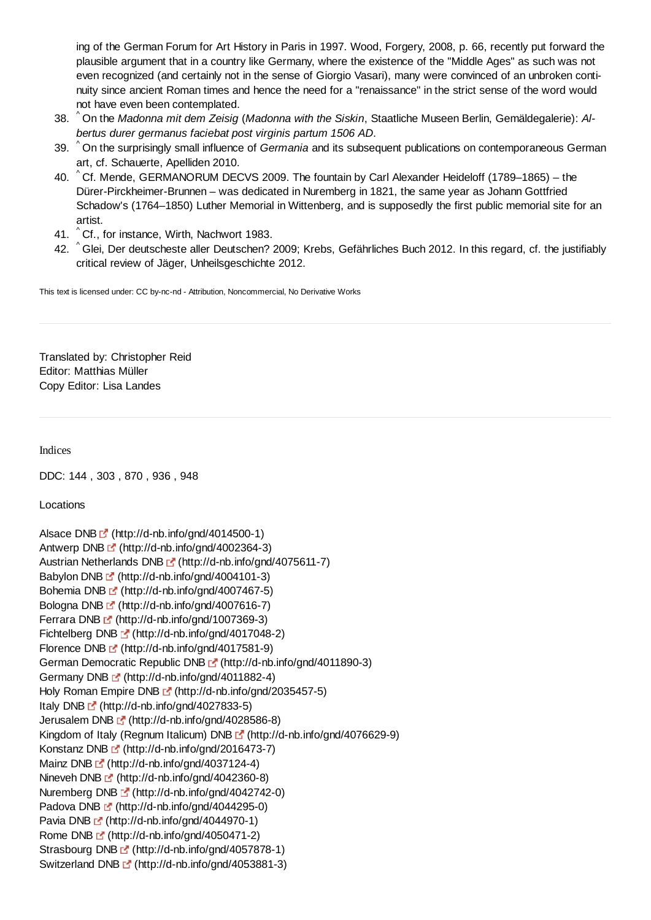ing of the German Forum for Art History in Paris in 1997. Wood, Forgery, 2008, p. 66, recently put forward the plausible argument that in a country like Germany, where the existence of the "Middle Ages" as such was not even recognized (and certainly not in the sense of Giorgio Vasari), many were convinced of an unbroken continuity since ancient Roman times and hence the need for a "renaissance" in the strict sense of the word would not have even been contemplated.

- ^ On the *Madonna mit dem Zeisig* (*Madonna with the Siskin*, Staatliche Museen Berlin, Gemäldegalerie): *Al-*38. *bertus durer germanus faciebat post virginis partum 1506 AD*.
- ^ On the surprisingly small influence of *Germania* and its subsequent publications on contemporaneous German 39. art, cf. Schauerte, Apelliden 2010.
- 40. ^Cf. Mende, GERMANORUM DECVS 2009. The fountain by Carl Alexander Heideloff (1789–1865) the Dürer-Pirckheimer-Brunnen – was dedicated in Nuremberg in 1821, the same year as Johann Gottfried Schadow's (1764–1850) Luther Memorial in Wittenberg, and is supposedly the first public memorial site for an artist.
- 41. ^ Cf., for instance, Wirth, Nachwort 1983.
- 42. ^Glei, Der deutscheste aller Deutschen? 2009; Krebs, Gefährliches Buch 2012. In this regard, cf. the justifiably critical review of Jäger, Unheilsgeschichte 2012.

This text is licensed under: CC by-nc-nd - Attribution, Noncommercial, No Derivative Works

Translated by: Christopher Reid Editor: Matthias Müller Copy Editor: Lisa Landes

Indices

DDC: 144 , 303 , 870 , 936 , 948

Locations

```
Alsace DNB \mathbb{E}^{\bullet} (http://d-nb.info/gnd/4014500-1)
Antwerp DNB \blacksquare (http://d-nb.info/gnd/4002364-3)
Austrian Netherlands DNB [ (http://d-nb.info/gnd/4075611-7)
Babylon DNB \mathbb{F} (http://d-nb.info/gnd/4004101-3)
Bohemia DNB E (http://d-nb.info/gnd/4007467-5)
Bologna DNB \mathbb{F} (http://d-nb.info/gnd/4007616-7)
Ferrara DNB <sup>r</sup> (http://d-nb.info/gnd/1007369-3)
Fichtelberg DNB \mathbb{F} (http://d-nb.info/gnd/4017048-2)
Florence DNB [fttp://d-nb.info/gnd/4017581-9)
German Democratic Republic DNB <sup>(*</sup> (http://d-nb.info/gnd/4011890-3)
Germany DNB F (http://d-nb.info/gnd/4011882-4)
Holy Roman Empire DNB (http://d-nb.info/gnd/2035457-5)
Italy DNB \mathbb{L}^{\bullet} (http://d-nb.info/gnd/4027833-5)
Jerusalem DNB (http://d-nb.info/gnd/4028586-8) 
Kingdom of Italy (Regnum Italicum) DNB [f] (http://d-nb.info/gnd/4076629-9)
Konstanz DNB (http://d-nb.info/gnd/2016473-7) 
Mainz DNB \mathbb{F}^{\bullet} (http://d-nb.info/gnd/4037124-4)
Nineveh DNB [ (http://d-nb.info/gnd/4042360-8)
Nuremberg DNB <sup>(*</sup> (http://d-nb.info/gnd/4042742-0)
Padova DNB (http://d-nb.info/gnd/4044295-0)
Pavia DNB \mathbb{E}^{\bullet} (http://d-nb.info/gnd/4044970-1)
Rome DNB \mathbb{F} (http://d-nb.info/gnd/4050471-2)
Strasbourg DNB E<sup>7</sup> (http://d-nb.info/gnd/4057878-1)
Switzerland DNB \mathbb{F} (http://d-nb.info/gnd/4053881-3)
```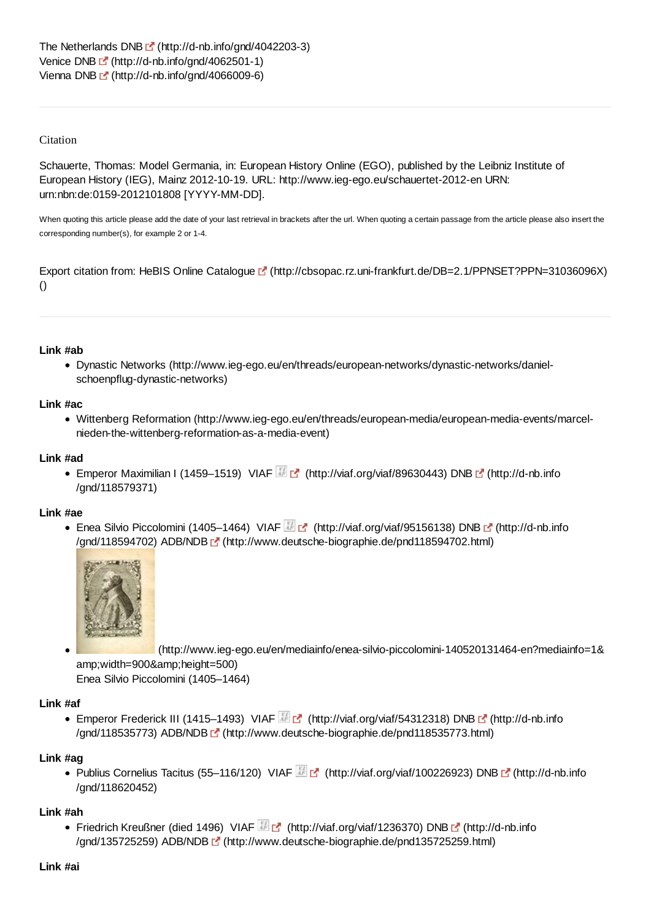## Citation

Schauerte, Thomas: Model Germania, in: European History Online (EGO), published by the Leibniz Institute of European History (IEG), Mainz 2012-10-19. URL: http://www.ieg-ego.eu/schauertet-2012-en URN: urn:nbn:de:0159-2012101808 [YYYY-MM-DD].

When quoting this article please add the date of your last retrieval in brackets after the url. When quoting a certain passage from the article please also insert the corresponding number(s), for example 2 or 1-4.

Export citation from: HeBIS Online Catalogue [sttp://cbsopac.rz.uni-frankfurt.de/DB=2.1/PPNSET?PPN=31036096X) ()

## **Link #ab**

Dynastic Networks (http://www.ieg-ego.eu/en/threads/european-networks/dynastic-networks/danielschoenpflug-dynastic-networks)

## **Link #ac**

Wittenberg Reformation (http://www.ieg-ego.eu/en/threads/european-media/european-media-events/marcelnieden-the-wittenberg-reformation-as-a-media-event)

## **Link #ad**

■ Emperor Maximilian I (1459–1519) VIAF (http://viaf.org/viaf/89630443) DNB C (http://d-nb.info /gnd/118579371)

## **Link #ae**

• Enea Silvio Piccolomini (1405–1464) VIAF (http://viaf.org/viaf/95156138) DNB C (http://d-nb.info /gnd/118594702) ADB/NDB (http://www.deutsche-biographie.de/pnd118594702.html)



 (http://www.ieg-ego.eu/en/mediainfo/enea-silvio-piccolomini-140520131464-en?mediainfo=1& amp;width=900&height=500)

Enea Silvio Piccolomini (1405–1464)

## **Link #af**

● Emperor Frederick III (1415–1493) VIAF **ME** (http://viaf.org/viaf/54312318) DNB E (http://d-nb.info /gnd/118535773) ADB/NDB (http://www.deutsche-biographie.de/pnd118535773.html)

## **Link #ag**

• Publius Cornelius Tacitus (55–116/120) VIAF <sup>[77</sup> (http://viaf.org/viaf/100226923) DNB [7] (http://d-nb.info /gnd/118620452)

## **Link #ah**

• Friedrich Kreußner (died 1496) VIAF (http://viaf.org/viaf/1236370) DNB C (http://d-nb.info /gnd/135725259) ADB/NDB (http://www.deutsche-biographie.de/pnd135725259.html)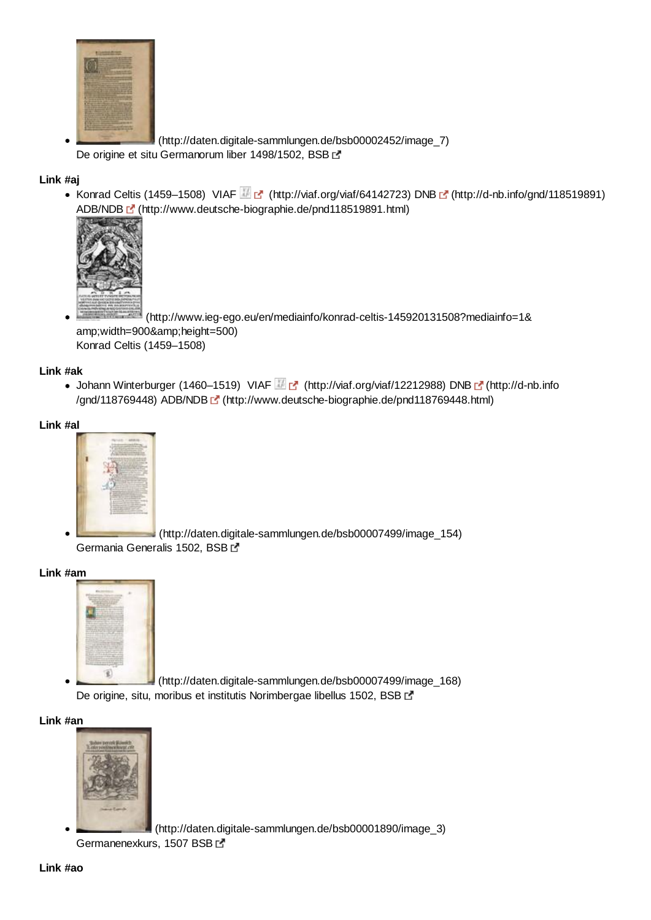

 (http://daten.digitale-sammlungen.de/bsb00002452/image\_7) De origine et situ Germanorum liber 1498/1502, BSB

## **Link #aj**

Konrad Celtis (1459–1508) VIAF (http://viaf.org/viaf/64142723) DNB  $\mathbb{F}$  (http://d-nb.info/gnd/118519891) ADB/NDB (http://www.deutsche-biographie.de/pnd118519891.html)



 (http://www.ieg-ego.eu/en/mediainfo/konrad-celtis-145920131508?mediainfo=1& amp;width=900&height=500) Konrad Celtis (1459–1508)

## **Link #ak**

• Johann Winterburger (1460–1519) VIAF (http://viaf.org/viaf/12212988) DNB [7] (http://d-nb.info /gnd/118769448) ADB/NDB (http://www.deutsche-biographie.de/pnd118769448.html)

## **Link #al**



 (http://daten.digitale-sammlungen.de/bsb00007499/image\_154) Germania Generalis 1502, BSB C

#### **Link #am**



 (http://daten.digitale-sammlungen.de/bsb00007499/image\_168) De origine, situ, moribus et institutis Norimbergae libellus 1502, BSB L'

#### **Link #an**



 (http://daten.digitale-sammlungen.de/bsb00001890/image\_3) Germanenexkurs, 1507 BSB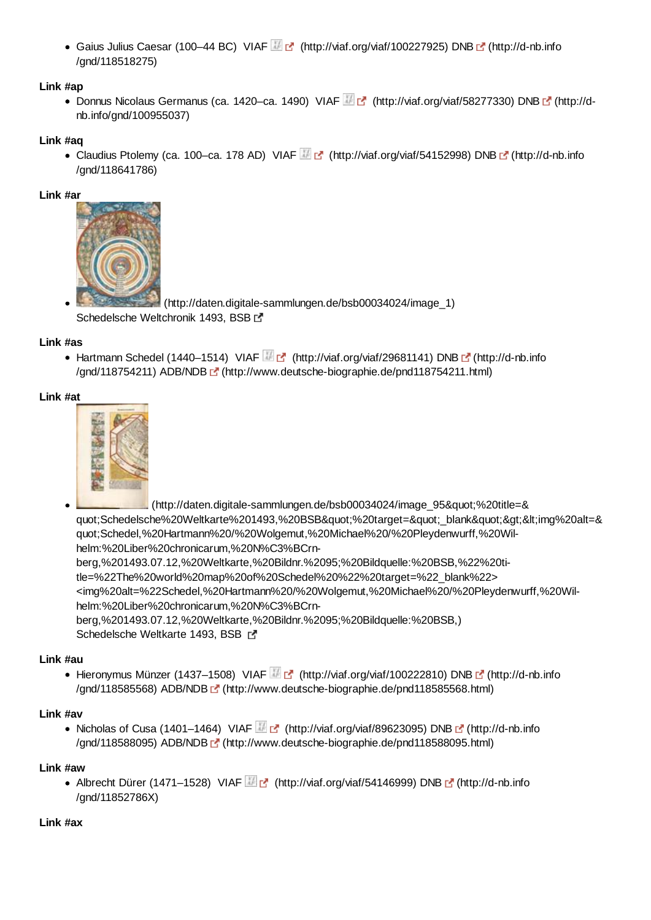Gaius Julius Caesar (100–44 BC) VIAF (http://viaf.org/viaf/100227925) DNB [ (http://d-nb.info /gnd/118518275)

# **Link #ap**

● Donnus Nicolaus Germanus (ca. 1420–ca. 1490) VIAF **(http://viaf.org/viaf/58277330) DNB (http://d**nb.info/gnd/100955037)

## **Link #aq**

• Claudius Ptolemy (ca. 100–ca. 178 AD) VIAF (http://viaf.org/viaf/54152998) DNB [ (http://d-nb.info /gnd/118641786)

## **Link #ar**



 (http://daten.digitale-sammlungen.de/bsb00034024/image\_1) Schedelsche Weltchronik 1493, BSB

## **Link #as**

• Hartmann Schedel (1440–1514) VIAF (http://viaf.org/viaf/29681141) DNB [ (http://d-nb.info /gnd/118754211) ADB/NDB (http://www.deutsche-biographie.de/pnd118754211.html)

## **Link #at**



 $\blacksquare$ (http://daten.digitale-sammlungen.de/bsb00034024/image\_95"%20title=& quot;Schedelsche%20Weltkarte%201493,%20BSB"%20target="\_blank"><img%20alt=& quot;Schedel,%20Hartmann%20/%20Wolgemut,%20Michael%20/%20Pleydenwurff,%20Wilhelm:%20Liber%20chronicarum,%20N%C3%BCrnberg,%201493.07.12,%20Weltkarte,%20Bildnr.%2095;%20Bildquelle:%20BSB,%22%20title=%22The%20world%20map%20of%20Schedel%20%22%20target=%22\_blank%22> <img%20alt=%22Schedel,%20Hartmann%20/%20Wolgemut,%20Michael%20/%20Pleydenwurff,%20Wilhelm:%20Liber%20chronicarum,%20N%C3%BCrnberg,%201493.07.12,%20Weltkarte,%20Bildnr.%2095;%20Bildquelle:%20BSB,) Schedelsche Weltkarte 1493, BSB

## **Link #au**

• Hieronymus Münzer (1437–1508) VIAF (http://viaf.org/viaf/100222810) DNB [ (http://d-nb.info /gnd/118585568) ADB/NDB (http://www.deutsche-biographie.de/pnd118585568.html)

## **Link #av**

• Nicholas of Cusa (1401–1464) VIAF  $\mathbb{F}$  (http://viaf.org/viaf/89623095) DNB  $\mathbb{F}$  (http://d-nb.info /gnd/118588095) ADB/NDB (http://www.deutsche-biographie.de/pnd118588095.html)

## **Link #aw**

• Albrecht Dürer (1471–1528) VIAF  $\mathbb{F}_2$  (http://viaf.org/viaf/54146999) DNB  $\mathbb{F}_2$  (http://d-nb.info /gnd/11852786X)

## **Link #ax**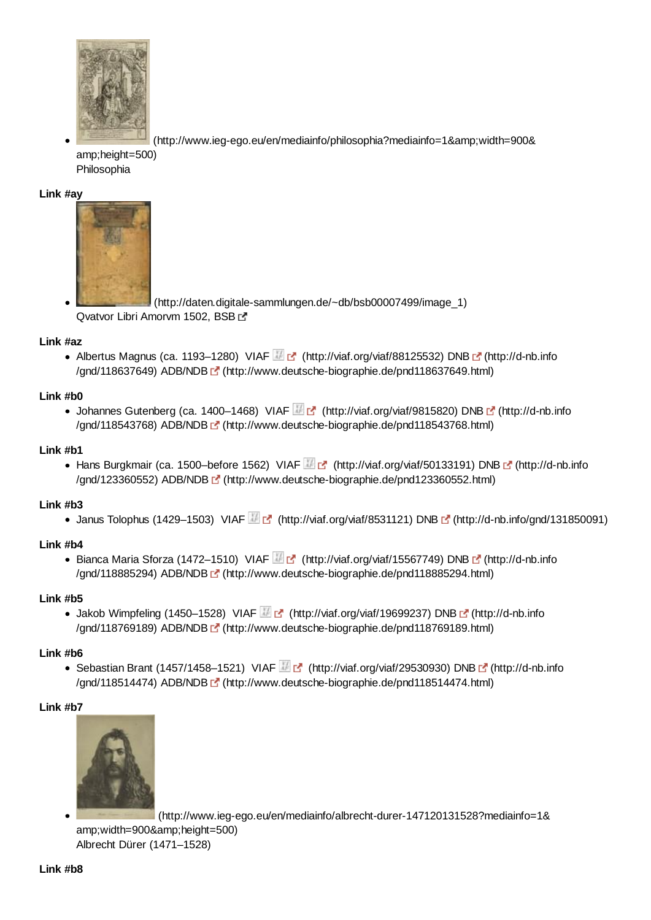

(http://www.ieg-ego.eu/en/mediainfo/philosophia?mediainfo=1&width=900&

amp;height=500) Philosophia

## **Link #ay**



 (http://daten.digitale-sammlungen.de/~db/bsb00007499/image\_1) Qvatvor Libri Amorvm 1502, BSB

## **Link #az**

• Albertus Magnus (ca. 1193–1280) VIAF  $\mathbb{F}$  (http://viaf.org/viaf/88125532) DNB  $\mathbb{F}$  (http://d-nb.info /gnd/118637649) ADB/NDB (http://www.deutsche-biographie.de/pnd118637649.html)

## **Link #b0**

• Johannes Gutenberg (ca. 1400–1468) VIAF (http://viaf.org/viaf/9815820) DNB C (http://d-nb.info /gnd/118543768) ADB/NDB (http://www.deutsche-biographie.de/pnd118543768.html)

## **Link #b1**

• Hans Burgkmair (ca. 1500–before 1562) VIAF (http://viaf.org/viaf/50133191) DNB [ (http://d-nb.info /gnd/123360552) ADB/NDB (http://www.deutsche-biographie.de/pnd123360552.html)

## **Link #b3**

• Janus Tolophus (1429–1503) VIAF (http://viaf.org/viaf/8531121) DNB  $\mathbb{F}$  (http://d-nb.info/gnd/131850091)

## **Link #b4**

• Bianca Maria Sforza (1472–1510) VIAF (http://viaf.org/viaf/15567749) DNB [ (http://d-nb.info /gnd/118885294) ADB/NDB (http://www.deutsche-biographie.de/pnd118885294.html)

## **Link #b5**

• Jakob Wimpfeling (1450–1528) VIAF  $\mathbb{F}$  (http://viaf.org/viaf/19699237) DNB  $\mathbb{F}$  (http://d-nb.info /gnd/118769189) ADB/NDB (http://www.deutsche-biographie.de/pnd118769189.html)

## **Link #b6**

● Sebastian Brant (1457/1458–1521) VIAF **(a)** (http://viaf.org/viaf/29530930) DNB [3] (http://d-nb.info /gnd/118514474) ADB/NDB (http://www.deutsche-biographie.de/pnd118514474.html)

## **Link #b7**



 (http://www.ieg-ego.eu/en/mediainfo/albrecht-durer-147120131528?mediainfo=1& amp;width=900&height=500) Albrecht Dürer (1471–1528)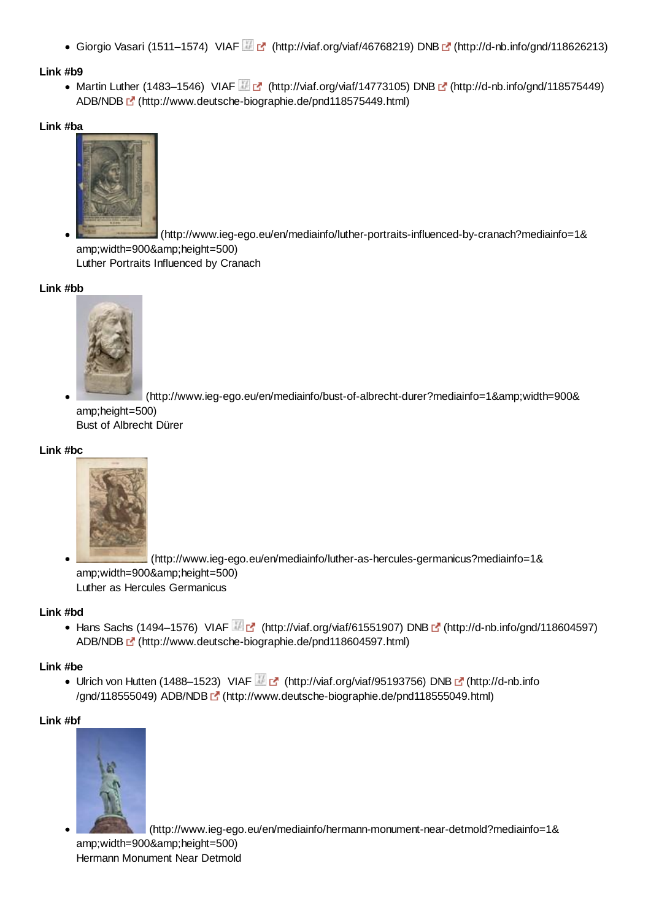Giorgio Vasari (1511–1574) VIAF (http://viaf.org/viaf/46768219) DNB  $\bar{G}$  (http://d-nb.info/gnd/118626213)

## **Link #b9**

Martin Luther (1483–1546) VIAF (http://viaf.org/viaf/14773105) DNB [7] (http://d-nb.info/gnd/118575449) ADB/NDB (http://www.deutsche-biographie.de/pnd118575449.html)

## **Link #ba**



 (http://www.ieg-ego.eu/en/mediainfo/luther-portraits-influenced-by-cranach?mediainfo=1& amp;width=900&height=500) Luther Portraits Influenced by Cranach

## **Link #bb**



(http://www.ieg-ego.eu/en/mediainfo/bust-of-albrecht-durer?mediainfo=1&width=900&

amp;height=500) Bust of Albrecht Dürer

## **Link #bc**



 (http://www.ieg-ego.eu/en/mediainfo/luther-as-hercules-germanicus?mediainfo=1& amp;width=900&height=500) Luther as Hercules Germanicus

## **Link #bd**

• Hans Sachs (1494–1576) VIAF (http://viaf.org/viaf/61551907) DNB  $\blacksquare$  (http://d-nb.info/gnd/118604597) ADB/NDB (http://www.deutsche-biographie.de/pnd118604597.html)

## **Link #be**

• Ulrich von Hutten (1488–1523) VIAF (http://viaf.org/viaf/95193756) DNB [ (http://d-nb.info /gnd/118555049) ADB/NDB (http://www.deutsche-biographie.de/pnd118555049.html)

#### **Link #bf**



(http://www.ieg-ego.eu/en/mediainfo/hermann-monument-near-detmold?mediainfo=1&

amp;width=900&height=500) Hermann Monument Near Detmold